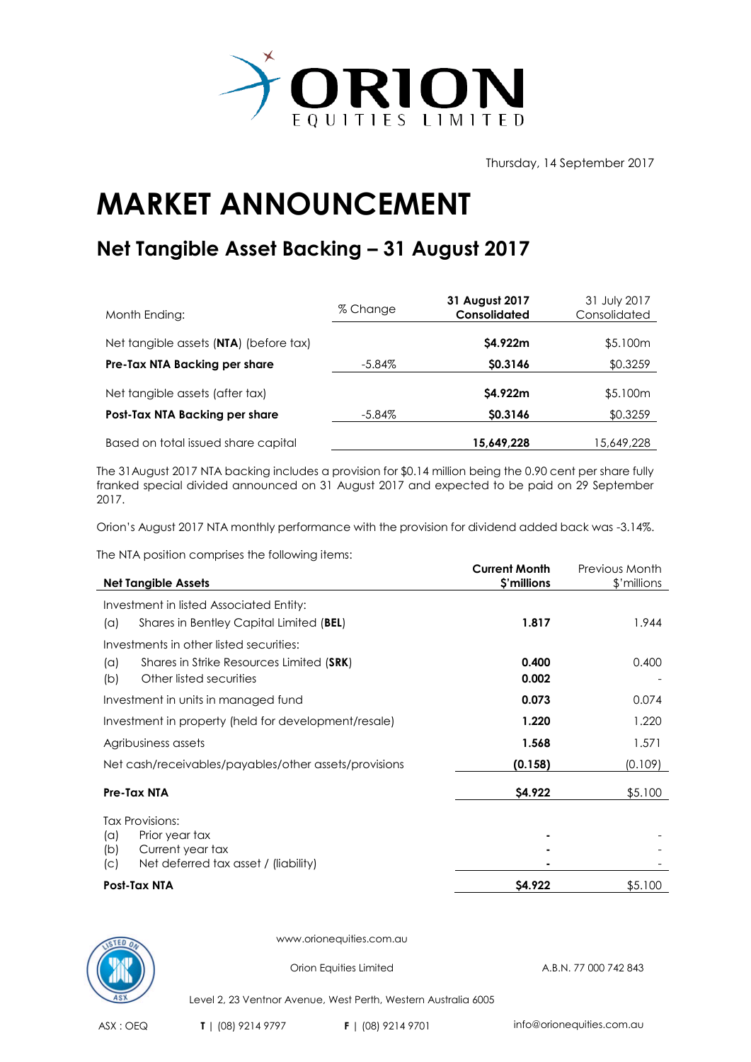

Thursday, 14 September 2017

## **MARKET ANNOUNCEMENT**

## **Net Tangible Asset Backing – 31 August 2017**

| Month Ending:                          | % Change | 31 August 2017<br><b>Consolidated</b> | 31 July 2017<br>Consolidated |
|----------------------------------------|----------|---------------------------------------|------------------------------|
| Net tangible assets (NTA) (before tax) |          | \$4.922m                              | \$5.100m                     |
| Pre-Tax NTA Backing per share          | -5.84%   | \$0.3146                              | \$0.3259                     |
| Net tangible assets (after tax)        |          | \$4.922m                              | \$5.100m                     |
| Post-Tax NTA Backing per share         | -5.84%   | \$0.3146                              | \$0.3259                     |
| Based on total issued share capital    |          | 15,649,228                            | 15,649,228                   |

The 31August 2017 NTA backing includes a provision for \$0.14 million being the 0.90 cent per share fully franked special divided announced on 31 August 2017 and expected to be paid on 29 September 2017.

Orion's August 2017 NTA monthly performance with the provision for dividend added back was -3.14%.

The NTA position comprises the following items:

| <b>Net Tangible Assets</b>                                                       | <b>Current Month</b><br>\$'millions | Previous Month<br>\$'millions |
|----------------------------------------------------------------------------------|-------------------------------------|-------------------------------|
| Investment in listed Associated Entity:                                          |                                     |                               |
| Shares in Bentley Capital Limited (BEL)<br>(a)                                   | 1.817                               | 1.944                         |
| Investments in other listed securities:                                          |                                     |                               |
| Shares in Strike Resources Limited (SRK)<br>(a)                                  | 0.400                               | 0.400                         |
| Other listed securities<br>(b)                                                   | 0.002                               |                               |
| Investment in units in managed fund                                              | 0.073                               | 0.074                         |
| Investment in property (held for development/resale)                             | 1.220                               | 1.220                         |
| Agribusiness assets                                                              | 1.568                               | 1.571                         |
| Net cash/receivables/payables/other assets/provisions                            | (0.158)                             | (0.109)                       |
| Pre-Tax NTA                                                                      | \$4.922                             | \$5.100                       |
| <b>Tax Provisions:</b>                                                           |                                     |                               |
| Prior year tax<br>(a)                                                            |                                     |                               |
| Current year tax<br>(b)<br>Net deferred tax asset / (liability)<br>$\mathcal{C}$ |                                     |                               |
| Post-Tax NTA                                                                     | \$4.922                             | \$5.100                       |



www.orionequities.com.au

Orion Equities Limited A.B.N. 77 000 742 843

Level 2, 23 Ventnor Avenue, West Perth, Western Australia 6005